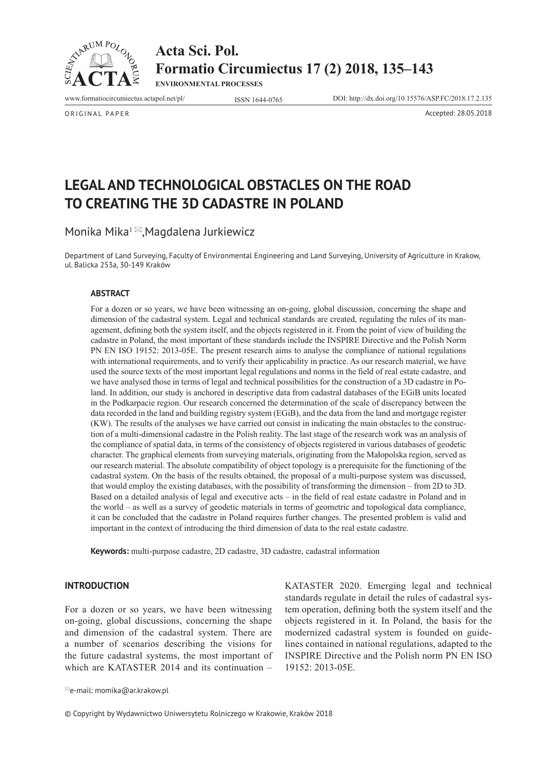

**Acta Sci. Pol. Formatio Circumiectus 17 (2) 2018, 135–143**

**ENVIRONMENTAL PROCESSES**

www.formatiocircumiectus.actapol.net/pl/ ISSN 1644-0765 DOI: http://dx.doi.org/10.15576/ASP.FC/2018.17.2.135

ORIGINAL PAPER Accepted: 28.05.2018

**LEGAL AND TECHNOLOGICAL OBSTACLES ON THE ROAD TO CREATING THE 3D CADASTRE IN POLAND** 

Monika Mika $1 \boxtimes$ ,Magdalena Jurkiewicz

Department of Land Surveying, Faculty of Environmental Engineering and Land Surveying, University of Agriculture in Krakow, ul. Balicka 253a, 30-149 Kraków

#### **ABSTRACT**

For a dozen or so years, we have been witnessing an on-going, global discussion, concerning the shape and dimension of the cadastral system. Legal and technical standards are created, regulating the rules of its management, defining both the system itself, and the objects registered in it. From the point of view of building the cadastre in Poland, the most important of these standards include the INSPIRE Directive and the Polish Norm PN EN ISO 19152: 2013-05E. The present research aims to analyse the compliance of national regulations with international requirements, and to verify their applicability in practice. As our research material, we have used the source texts of the most important legal regulations and norms in the field of real estate cadastre, and we have analysed those in terms of legal and technical possibilities for the construction of a 3D cadastre in Poland. In addition, our study is anchored in descriptive data from cadastral databases of the EGiB units located in the Podkarpacie region. Our research concerned the determination of the scale of discrepancy between the data recorded in the land and building registry system (EGiB), and the data from the land and mortgage register (KW). The results of the analyses we have carried out consist in indicating the main obstacles to the construction of a multi-dimensional cadastre in the Polish reality. The last stage of the research work was an analysis of the compliance of spatial data, in terms of the consistency of objects registered in various databases of geodetic character. The graphical elements from surveying materials, originating from the Małopolska region, served as our research material. The absolute compatibility of object topology is a prerequisite for the functioning of the cadastral system. On the basis of the results obtained, the proposal of a multi-purpose system was discussed, that would employ the existing databases, with the possibility of transforming the dimension – from 2D to 3D. Based on a detailed analysis of legal and executive acts – in the field of real estate cadastre in Poland and in the world – as well as a survey of geodetic materials in terms of geometric and topological data compliance, it can be concluded that the cadastre in Poland requires further changes. The presented problem is valid and important in the context of introducing the third dimension of data to the real estate cadastre.

**Keywords:** multi-purpose cadastre, 2D cadastre, 3D cadastre, cadastral information

### **INTRODUCTION**

For a dozen or so years, we have been witnessing on-going, global discussions, concerning the shape and dimension of the cadastral system. There are a number of scenarios describing the visions for the future cadastral systems, the most important of which are KATASTER 2014 and its continuation –

KATASTER 2020. Emerging legal and technical standards regulate in detail the rules of cadastral system operation, defining both the system itself and the objects registered in it. In Poland, the basis for the modernized cadastral system is founded on guidelines contained in national regulations, adapted to the INSPIRE Directive and the Polish norm PN EN ISO 19152: 2013-05E.

 $\mathbb{E}_e$ -mail: momika@ar.krakow.pl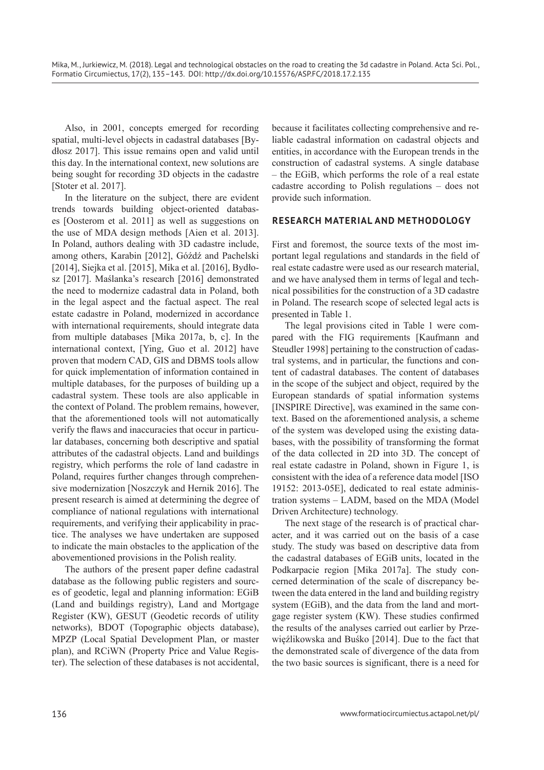Also, in 2001, concepts emerged for recording spatial, multi-level objects in cadastral databases [Bydłosz 2017]. This issue remains open and valid until this day. In the international context, new solutions are being sought for recording 3D objects in the cadastre [Stoter et al. 2017].

In the literature on the subject, there are evident trends towards building object-oriented databases [Oosterom et al. 2011] as well as suggestions on the use of MDA design methods [Aien et al. 2013]. In Poland, authors dealing with 3D cadastre include, among others, Karabin [2012], Góźdź and Pachelski [2014], Siejka et al. [2015], Mika et al. [2016], Bydłosz [2017]. Maślanka's research [2016] demonstrated the need to modernize cadastral data in Poland, both in the legal aspect and the factual aspect. The real estate cadastre in Poland, modernized in accordance with international requirements, should integrate data from multiple databases [Mika 2017a, b, c]. In the international context, [Ying, Guo et al. 2012] have proven that modern CAD, GIS and DBMS tools allow for quick implementation of information contained in multiple databases, for the purposes of building up a cadastral system. These tools are also applicable in the context of Poland. The problem remains, however, that the aforementioned tools will not automatically verify the flaws and inaccuracies that occur in particular databases, concerning both descriptive and spatial attributes of the cadastral objects. Land and buildings registry, which performs the role of land cadastre in Poland, requires further changes through comprehensive modernization [Noszczyk and Hernik 2016]. The present research is aimed at determining the degree of compliance of national regulations with international requirements, and verifying their applicability in practice. The analyses we have undertaken are supposed to indicate the main obstacles to the application of the abovementioned provisions in the Polish reality.

The authors of the present paper define cadastral database as the following public registers and sources of geodetic, legal and planning information: EGiB (Land and buildings registry), Land and Mortgage Register (KW), GESUT (Geodetic records of utility networks), BDOT (Topographic objects database), MPZP (Local Spatial Development Plan, or master plan), and RCiWN (Property Price and Value Register). The selection of these databases is not accidental, because it facilitates collecting comprehensive and reliable cadastral information on cadastral objects and entities, in accordance with the European trends in the construction of cadastral systems. A single database – the EGiB, which performs the role of a real estate cadastre according to Polish regulations – does not provide such information.

## **RESEARCH MATERIAL AND METHODOLOGY**

First and foremost, the source texts of the most important legal regulations and standards in the field of real estate cadastre were used as our research material, and we have analysed them in terms of legal and technical possibilities for the construction of a 3D cadastre in Poland. The research scope of selected legal acts is presented in Table 1.

The legal provisions cited in Table 1 were compared with the FIG requirements [Kaufmann and Steudler 1998] pertaining to the construction of cadastral systems, and in particular, the functions and content of cadastral databases. The content of databases in the scope of the subject and object, required by the European standards of spatial information systems [INSPIRE Directive], was examined in the same context. Based on the aforementioned analysis, a scheme of the system was developed using the existing databases, with the possibility of transforming the format of the data collected in 2D into 3D. The concept of real estate cadastre in Poland, shown in Figure 1, is consistent with the idea of a reference data model [ISO 19152: 2013-05E], dedicated to real estate administration systems – LADM, based on the MDA (Model Driven Architecture) technology.

The next stage of the research is of practical character, and it was carried out on the basis of a case study. The study was based on descriptive data from the cadastral databases of EGiB units, located in the Podkarpacie region [Mika 2017a]. The study concerned determination of the scale of discrepancy between the data entered in the land and building registry system (EGiB), and the data from the land and mortgage register system (KW). These studies confirmed the results of the analyses carried out earlier by Przewięźlikowska and Buśko [2014]. Due to the fact that the demonstrated scale of divergence of the data from the two basic sources is significant, there is a need for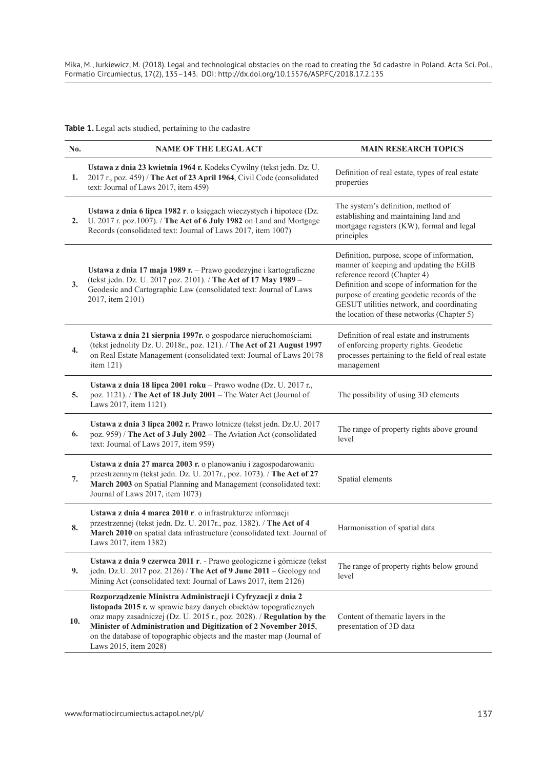Mika, M., Jurkiewicz, M. (2018). Legal and technological obstacles on the road to creating the 3d cadastre in Poland. Acta Sci. Pol., Formatio Circumiectus, 17(2), 135–143. DOI: http://dx.doi.org/10.15576/ASP.FC/2018.17.2.135

**Table 1.** Legal acts studied, pertaining to the cadastre

| No. | <b>NAME OF THE LEGAL ACT</b>                                                                                                                                                                                                                                                                                                                                                   | <b>MAIN RESEARCH TOPICS</b>                                                                                                                                                                                                                                                                                    |  |
|-----|--------------------------------------------------------------------------------------------------------------------------------------------------------------------------------------------------------------------------------------------------------------------------------------------------------------------------------------------------------------------------------|----------------------------------------------------------------------------------------------------------------------------------------------------------------------------------------------------------------------------------------------------------------------------------------------------------------|--|
| 1.  | Ustawa z dnia 23 kwietnia 1964 r. Kodeks Cywilny (tekst jedn. Dz. U.<br>2017 r., poz. 459) / The Act of 23 April 1964, Civil Code (consolidated<br>text: Journal of Laws 2017, item 459)                                                                                                                                                                                       | Definition of real estate, types of real estate<br>properties                                                                                                                                                                                                                                                  |  |
| 2.  | Ustawa z dnia 6 lipca 1982 r. o księgach wieczystych i hipotece (Dz.<br>U. 2017 r. poz.1007). / The Act of 6 July 1982 on Land and Mortgage<br>Records (consolidated text: Journal of Laws 2017, item 1007)                                                                                                                                                                    | The system's definition, method of<br>establishing and maintaining land and<br>mortgage registers (KW), formal and legal<br>principles                                                                                                                                                                         |  |
| 3.  | Ustawa z dnia 17 maja 1989 r. – Prawo geodezyjne i kartograficzne<br>(tekst jedn. Dz. U. 2017 poz. 2101). / The Act of 17 May 1989 -<br>Geodesic and Cartographic Law (consolidated text: Journal of Laws<br>2017, item 2101)                                                                                                                                                  | Definition, purpose, scope of information,<br>manner of keeping and updating the EGIB<br>reference record (Chapter 4)<br>Definition and scope of information for the<br>purpose of creating geodetic records of the<br>GESUT utilities network, and coordinating<br>the location of these networks (Chapter 5) |  |
| 4.  | Ustawa z dnia 21 sierpnia 1997r. o gospodarce nieruchomościami<br>(tekst jednolity Dz. U. 2018r., poz. 121). / The Act of 21 August 1997<br>on Real Estate Management (consolidated text: Journal of Laws 20178<br>item 121)                                                                                                                                                   | Definition of real estate and instruments<br>of enforcing property rights. Geodetic<br>processes pertaining to the field of real estate<br>management                                                                                                                                                          |  |
| 5.  | Ustawa z dnia 18 lipca 2001 roku – Prawo wodne (Dz. U. 2017 r.,<br>poz. 1121). / The Act of 18 July 2001 - The Water Act (Journal of<br>Laws 2017, item 1121)                                                                                                                                                                                                                  | The possibility of using 3D elements                                                                                                                                                                                                                                                                           |  |
| 6.  | Ustawa z dnia 3 lipca 2002 r. Prawo lotnicze (tekst jedn. Dz.U. 2017<br>poz. 959) / The Act of 3 July 2002 - The Aviation Act (consolidated<br>text: Journal of Laws 2017, item 959)                                                                                                                                                                                           | The range of property rights above ground<br>level                                                                                                                                                                                                                                                             |  |
| 7.  | Ustawa z dnia 27 marca 2003 r. o planowaniu i zagospodarowaniu<br>przestrzennym (tekst jedn. Dz. U. 2017r., poz. 1073). / The Act of 27<br>March 2003 on Spatial Planning and Management (consolidated text:<br>Journal of Laws 2017, item 1073)                                                                                                                               | Spatial elements                                                                                                                                                                                                                                                                                               |  |
| 8.  | Ustawa z dnia 4 marca 2010 r. o infrastrukturze informacji<br>przestrzennej (tekst jedn. Dz. U. 2017r., poz. 1382). / The Act of 4<br>March 2010 on spatial data infrastructure (consolidated text: Journal of<br>Laws 2017, item 1382)                                                                                                                                        | Harmonisation of spatial data                                                                                                                                                                                                                                                                                  |  |
| 9.  | Ustawa z dnia 9 czerwca 2011 r. - Prawo geologiczne i górnicze (tekst<br>jedn. Dz.U. 2017 poz. 2126) / The Act of 9 June 2011 - Geology and<br>Mining Act (consolidated text: Journal of Laws 2017, item 2126)                                                                                                                                                                 | The range of property rights below ground<br>level                                                                                                                                                                                                                                                             |  |
| 10. | Rozporządzenie Ministra Administracji i Cyfryzacji z dnia 2<br>listopada 2015 r. w sprawie bazy danych obiektów topograficznych<br>oraz mapy zasadniczej (Dz. U. 2015 r., poz. 2028). / Regulation by the<br>Minister of Administration and Digitization of 2 November 2015,<br>on the database of topographic objects and the master map (Journal of<br>Laws 2015, item 2028) | Content of thematic layers in the<br>presentation of 3D data                                                                                                                                                                                                                                                   |  |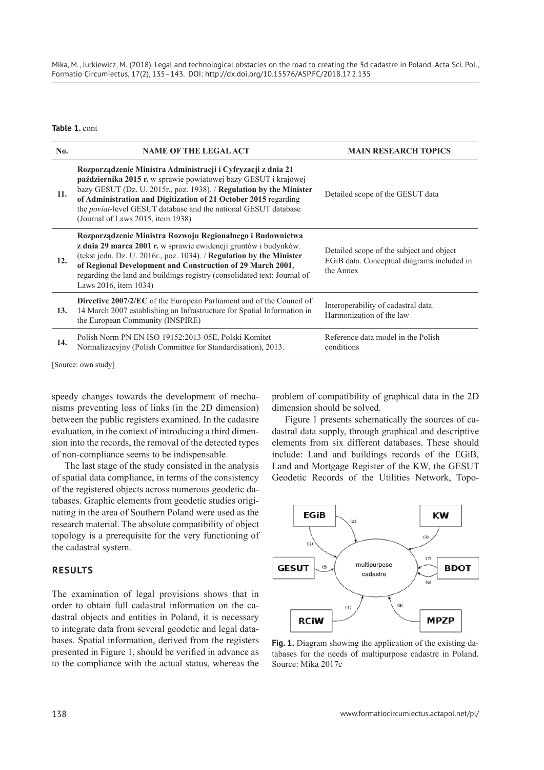Mika, M., Jurkiewicz, M. (2018). Legal and technological obstacles on the road to creating the 3d cadastre in Poland. Acta Sci. Pol., Formatio Circumiectus, 17(2), 135–143. DOI: http://dx.doi.org/10.15576/ASP.FC/2018.17.2.135

**Table 1.** cont

| No. | <b>NAME OF THE LEGAL ACT</b>                                                                                                                                                                                                                                                                                                                                                                     | <b>MAIN RESEARCH TOPICS</b>                                                                         |  |
|-----|--------------------------------------------------------------------------------------------------------------------------------------------------------------------------------------------------------------------------------------------------------------------------------------------------------------------------------------------------------------------------------------------------|-----------------------------------------------------------------------------------------------------|--|
| 11. | Rozporządzenie Ministra Administracji i Cyfryzacji z dnia 21<br><b>października 2015 r.</b> w sprawie powiatowej bazy GESUT i krajowej<br>bazy GESUT (Dz. U. 2015r., poz. 1938). / Regulation by the Minister<br>of Administration and Digitization of 21 October 2015 regarding<br>the <i>poviat</i> -level GESUT database and the national GESUT database<br>(Journal of Laws 2015, item 1938) | Detailed scope of the GESUT data                                                                    |  |
| 12. | Rozporządzenie Ministra Rozwoju Regionalnego i Budownictwa<br>z dnia 29 marca 2001 r. w sprawie ewidencji gruntów i budynków.<br>(tekst jedn. Dz. U. 2016r., poz. 1034). / Regulation by the Minister<br>of Regional Development and Construction of 29 March 2001,<br>regarding the land and buildings registry (consolidated text: Journal of<br>Laws 2016, item 1034)                         | Detailed scope of the subject and object<br>EGiB data. Conceptual diagrams included in<br>the Annex |  |
| 13. | <b>Directive 2007/2/EC</b> of the European Parliament and of the Council of<br>14 March 2007 establishing an Infrastructure for Spatial Information in<br>the European Community (INSPIRE)                                                                                                                                                                                                       | Interoperability of cadastral data.<br>Harmonization of the law                                     |  |
| 14. | Polish Norm PN EN ISO 19152:2013-05E, Polski Komitet<br>Normalizacyjny (Polish Committee for Standardisation), 2013.                                                                                                                                                                                                                                                                             | Reference data model in the Polish<br>conditions                                                    |  |

[Source: own study]

speedy changes towards the development of mechanisms preventing loss of links (in the 2D dimension) between the public registers examined. In the cadastre evaluation, in the context of introducing a third dimension into the records, the removal of the detected types of non-compliance seems to be indispensable.

The last stage of the study consisted in the analysis of spatial data compliance, in terms of the consistency of the registered objects across numerous geodetic databases. Graphic elements from geodetic studies originating in the area of Southern Poland were used as the research material. The absolute compatibility of object topology is a prerequisite for the very functioning of the cadastral system.

## **RESULTS**

The examination of legal provisions shows that in order to obtain full cadastral information on the cadastral objects and entities in Poland, it is necessary to integrate data from several geodetic and legal databases. Spatial information, derived from the registers presented in Figure 1, should be verified in advance as to the compliance with the actual status, whereas the

problem of compatibility of graphical data in the 2D dimension should be solved.

Figure 1 presents schematically the sources of cadastral data supply, through graphical and descriptive elements from six different databases. These should include: Land and buildings records of the EGiB, Land and Mortgage Register of the KW, the GESUT Geodetic Records of the Utilities Network, Topo-



**Fig. 1.** Diagram showing the application of the existing databases for the needs of multipurpose cadastre in Poland. Source: Mika 2017c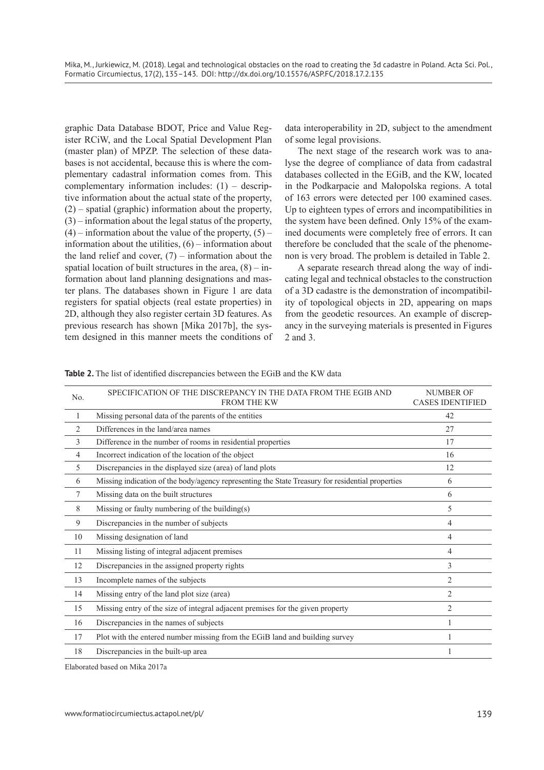graphic Data Database BDOT, Price and Value Register RCiW, and the Local Spatial Development Plan (master plan) of MPZP. The selection of these databases is not accidental, because this is where the complementary cadastral information comes from. This complementary information includes: (1) – descriptive information about the actual state of the property, (2) – spatial (graphic) information about the property, (3) – information about the legal status of the property,  $(4)$  – information about the value of the property,  $(5)$  – information about the utilities,  $(6)$  – information about the land relief and cover,  $(7)$  – information about the spatial location of built structures in the area,  $(8)$  – information about land planning designations and master plans. The databases shown in Figure 1 are data registers for spatial objects (real estate properties) in 2D, although they also register certain 3D features. As previous research has shown [Mika 2017b], the system designed in this manner meets the conditions of data interoperability in 2D, subject to the amendment of some legal provisions.

The next stage of the research work was to analyse the degree of compliance of data from cadastral databases collected in the EGiB, and the KW, located in the Podkarpacie and Małopolska regions. A total of 163 errors were detected per 100 examined cases. Up to eighteen types of errors and incompatibilities in the system have been defined. Only 15% of the examined documents were completely free of errors. It can therefore be concluded that the scale of the phenomenon is very broad. The problem is detailed in Table 2.

A separate research thread along the way of indicating legal and technical obstacles to the construction of a 3D cadastre is the demonstration of incompatibility of topological objects in 2D, appearing on maps from the geodetic resources. An example of discrepancy in the surveying materials is presented in Figures 2 and 3.

| No.            | SPECIFICATION OF THE DISCREPANCY IN THE DATA FROM THE EGIB AND<br><b>FROM THE KW</b>             | <b>NUMBER OF</b><br><b>CASES IDENTIFIED</b> |
|----------------|--------------------------------------------------------------------------------------------------|---------------------------------------------|
| 1              | Missing personal data of the parents of the entities                                             | 42                                          |
| $\overline{2}$ | Differences in the land/area names                                                               | 27                                          |
| 3              | Difference in the number of rooms in residential properties                                      | 17                                          |
| 4              | Incorrect indication of the location of the object                                               | 16                                          |
| 5              | Discrepancies in the displayed size (area) of land plots                                         | 12                                          |
| 6              | Missing indication of the body/agency representing the State Treasury for residential properties | 6                                           |
| 7              | Missing data on the built structures                                                             | 6                                           |
| 8              | Missing or faulty numbering of the building(s)                                                   | 5                                           |
| 9              | Discrepancies in the number of subjects                                                          | 4                                           |
| 10             | Missing designation of land                                                                      | 4                                           |
| 11             | Missing listing of integral adjacent premises                                                    | 4                                           |
| 12             | Discrepancies in the assigned property rights                                                    | 3                                           |
| 13             | Incomplete names of the subjects                                                                 | $\overline{2}$                              |
| 14             | Missing entry of the land plot size (area)                                                       | 2                                           |
| 15             | Missing entry of the size of integral adjacent premises for the given property                   | 2                                           |
| 16             | Discrepancies in the names of subjects                                                           |                                             |
| 17             | Plot with the entered number missing from the EGiB land and building survey                      |                                             |
| 18             | Discrepancies in the built-up area                                                               |                                             |

Table 2. The list of identified discrepancies between the EGiB and the KW data

Elaborated based on Mika 2017a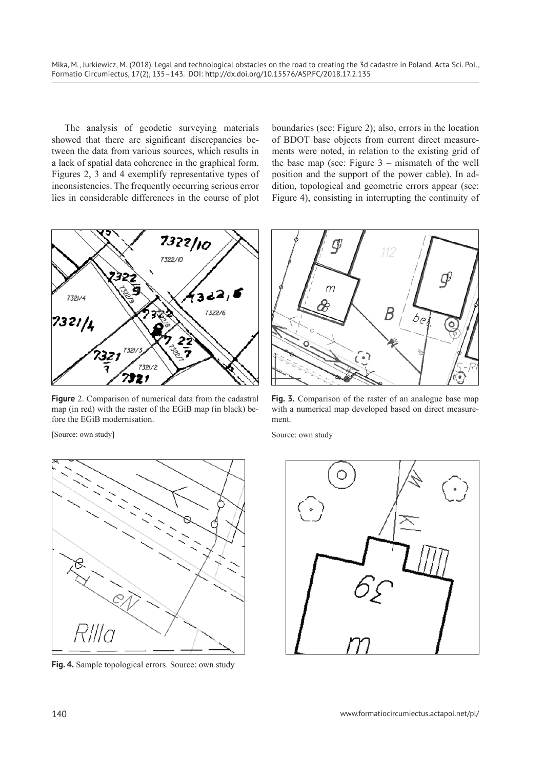Mika, M., Jurkiewicz, M. (2018). Legal and technological obstacles on the road to creating the 3d cadastre in Poland. Acta Sci. Pol., Formatio Circumiectus, 17(2), 135–143. DOI: http://dx.doi.org/10.15576/ASP.FC/2018.17.2.135

The analysis of geodetic surveying materials showed that there are significant discrepancies between the data from various sources, which results in a lack of spatial data coherence in the graphical form. Figures 2, 3 and 4 exemplify representative types of inconsistencies. The frequently occurring serious error lies in considerable differences in the course of plot

boundaries (see: Figure 2); also, errors in the location of BDOT base objects from current direct measurements were noted, in relation to the existing grid of the base map (see: Figure 3 – mismatch of the well position and the support of the power cable). In addition, topological and geometric errors appear (see: Figure 4), consisting in interrupting the continuity of



**Figure** 2. Comparison of numerical data from the cadastral map (in red) with the raster of the EGiB map (in black) before the EGiB modernisation.



Fig. 4. Sample topological errors. Source: own study



**Fig. 3.** Comparison of the raster of an analogue base map with a numerical map developed based on direct measurement.

Source: own study

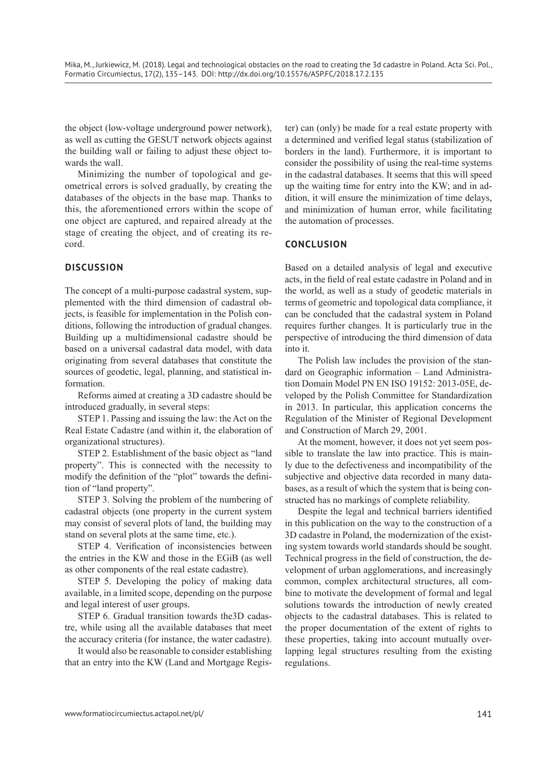the object (low-voltage underground power network), as well as cutting the GESUT network objects against the building wall or failing to adjust these object towards the wall.

Minimizing the number of topological and geometrical errors is solved gradually, by creating the databases of the objects in the base map. Thanks to this, the aforementioned errors within the scope of one object are captured, and repaired already at the stage of creating the object, and of creating its record.

# **DISCUSSION**

The concept of a multi-purpose cadastral system, supplemented with the third dimension of cadastral objects, is feasible for implementation in the Polish conditions, following the introduction of gradual changes. Building up a multidimensional cadastre should be based on a universal cadastral data model, with data originating from several databases that constitute the sources of geodetic, legal, planning, and statistical information.

Reforms aimed at creating a 3D cadastre should be introduced gradually, in several steps:

STEP 1. Passing and issuing the law: the Act on the Real Estate Cadastre (and within it, the elaboration of organizational structures).

STEP 2. Establishment of the basic object as "land property". This is connected with the necessity to modify the definition of the "plot" towards the definition of "land property".

STEP 3. Solving the problem of the numbering of cadastral objects (one property in the current system may consist of several plots of land, the building may stand on several plots at the same time, etc.).

STEP 4. Verification of inconsistencies between the entries in the KW and those in the EGiB (as well as other components of the real estate cadastre).

STEP 5. Developing the policy of making data available, in a limited scope, depending on the purpose and legal interest of user groups.

STEP 6. Gradual transition towards the3D cadastre, while using all the available databases that meet the accuracy criteria (for instance, the water cadastre).

It would also be reasonable to consider establishing that an entry into the KW (Land and Mortgage Register) can (only) be made for a real estate property with a determined and verified legal status (stabilization of borders in the land). Furthermore, it is important to consider the possibility of using the real-time systems in the cadastral databases. It seems that this will speed up the waiting time for entry into the KW; and in addition, it will ensure the minimization of time delays, and minimization of human error, while facilitating the automation of processes.

## **CONCLUSION**

Based on a detailed analysis of legal and executive acts, in the field of real estate cadastre in Poland and in the world, as well as a study of geodetic materials in terms of geometric and topological data compliance, it can be concluded that the cadastral system in Poland requires further changes. It is particularly true in the perspective of introducing the third dimension of data into it.

The Polish law includes the provision of the standard on Geographic information – Land Administration Domain Model PN EN ISO 19152: 2013-05E, developed by the Polish Committee for Standardization in 2013. In particular, this application concerns the Regulation of the Minister of Regional Development and Construction of March 29, 2001.

At the moment, however, it does not yet seem possible to translate the law into practice. This is mainly due to the defectiveness and incompatibility of the subjective and objective data recorded in many databases, as a result of which the system that is being constructed has no markings of complete reliability.

Despite the legal and technical barriers identified in this publication on the way to the construction of a 3D cadastre in Poland, the modernization of the existing system towards world standards should be sought. Technical progress in the field of construction, the development of urban agglomerations, and increasingly common, complex architectural structures, all combine to motivate the development of formal and legal solutions towards the introduction of newly created objects to the cadastral databases. This is related to the proper documentation of the extent of rights to these properties, taking into account mutually overlapping legal structures resulting from the existing regulations.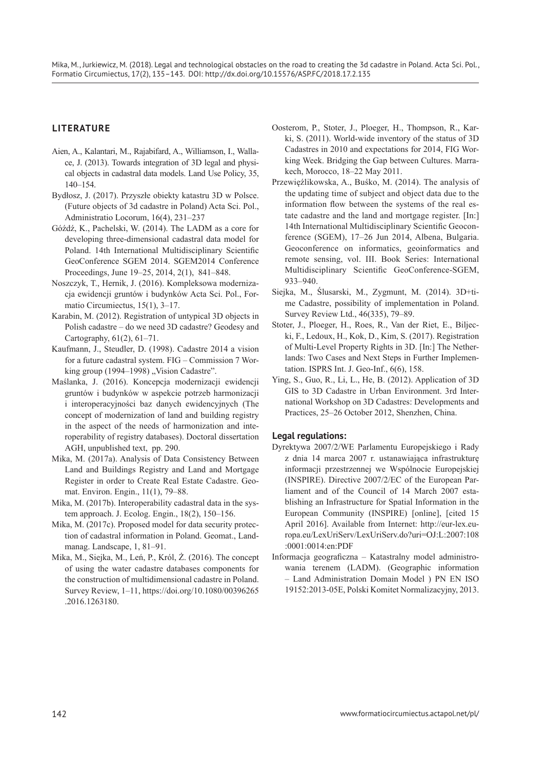# **LITERATURE**

- Aien, A., Kalantari, M., Rajabifard, A., Williamson, I., Wallace, J. (2013). Towards integration of 3D legal and physical objects in cadastral data models. Land Use Policy, 35, 140–154.
- Bydłosz, J. (2017). Przyszłe obiekty katastru 3D w Polsce. (Future objects of 3d cadastre in Poland) Acta Sci. Pol., Administratio Locorum, 16(4), 231–237
- Góźdź, K., Pachelski, W. (2014). The LADM as a core for developing three-dimensional cadastral data model for Poland. 14th International Multidisciplinary Scientific GeoConference SGEM 2014. SGEM2014 Conference Proceedings, June 19–25, 2014, 2(1), 841–848.
- Noszczyk, T., Hernik, J. (2016). Kompleksowa modernizacja ewidencji gruntów i budynków Acta Sci. Pol., Formatio Circumiectus, 15(1), 3–17.
- Karabin, M. (2012). Registration of untypical 3D objects in Polish cadastre – do we need 3D cadastre? Geodesy and Cartography, 61(2), 61-71.
- Kaufmann, J., Steudler, D. (1998). Cadastre 2014 a vision for a future cadastral system. FIG – Commission 7 Working group (1994–1998) "Vision Cadastre".
- Maślanka, J. (2016). Koncepcja modernizacji ewidencji gruntów i budynków w aspekcie potrzeb harmonizacji i interoperacyjności baz danych ewidencyjnych (The concept of modernization of land and building registry in the aspect of the needs of harmonization and interoperability of registry databases). Doctoral dissertation AGH, unpublished text, pp. 290.
- Mika, M. (2017a). Analysis of Data Consistency Between Land and Buildings Registry and Land and Mortgage Register in order to Create Real Estate Cadastre. Geomat. Environ. Engin., 11(1), 79–88.
- Mika, M. (2017b). Interoperability cadastral data in the system approach. J. Ecolog. Engin., 18(2), 150–156.
- Mika, M. (2017c). Proposed model for data security protection of cadastral information in Poland. Geomat., Landmanag. Landscape, 1, 81–91.
- Mika, M., Siejka, M., Leń, P., Król, Ż. (2016). The concept of using the water cadastre databases components for the construction of multidimensional cadastre in Poland. Survey Review, 1–11, https://doi.org/10.1080/00396265 .2016.1263180.
- Oosterom, P., Stoter, J., Ploeger, H., Thompson, R., Karki, S. (2011). World-wide inventory of the status of 3D Cadastres in 2010 and expectations for 2014, FIG Working Week. Bridging the Gap between Cultures. Marrakech, Morocco, 18–22 May 2011.
- Przewięźlikowska, A., Buśko, M. (2014). The analysis of the updating time of subject and object data due to the information flow between the systems of the real estate cadastre and the land and mortgage register. [In:] 14th International Multidisciplinary Scientific Geoconference (SGEM), 17–26 Jun 2014, Albena, Bulgaria. Geoconference on informatics, geoinformatics and remote sensing, vol. III. Book Series: International Multidisciplinary Scientific GeoConference-SGEM, 933–940.
- Siejka, M., Ślusarski, M., Zygmunt, M. (2014). 3D+time Cadastre, possibility of implementation in Poland. Survey Review Ltd., 46(335), 79–89.
- Stoter, J., Ploeger, H., Roes, R., Van der Riet, E., Biljecki, F., Ledoux, H., Kok, D., Kim, S. (2017). Registration of Multi-Level Property Rights in 3D. [In:] The Netherlands: Two Cases and Next Steps in Further Implementation. ISPRS Int. J. Geo-Inf., 6(6), 158.
- Ying, S., Guo, R., Li, L., He, B. (2012). Application of 3D GIS to 3D Cadastre in Urban Environment. 3rd International Workshop on 3D Cadastres: Developments and Practices, 25–26 October 2012, Shenzhen, China.

### **Legal regulations:**

- Dyrektywa 2007/2/WE Parlamentu Europejskiego i Rady z dnia 14 marca 2007 r. ustanawiająca infrastrukturę informacji przestrzennej we Wspólnocie Europejskiej (INSPIRE). Directive 2007/2/EC of the European Parliament and of the Council of 14 March 2007 establishing an Infrastructure for Spatial Information in the European Community (INSPIRE) [online], [cited 15 April 2016]. Available from Internet: http://eur-lex.europa.eu/LexUriServ/LexUriServ.do?uri=OJ:L:2007:108 :0001:0014:en:PDF
- Informacja geograficzna Katastralny model administrowania terenem (LADM). (Geographic information – Land Administration Domain Model ) PN EN ISO 19152:2013-05E, Polski Komitet Normalizacyjny, 2013.